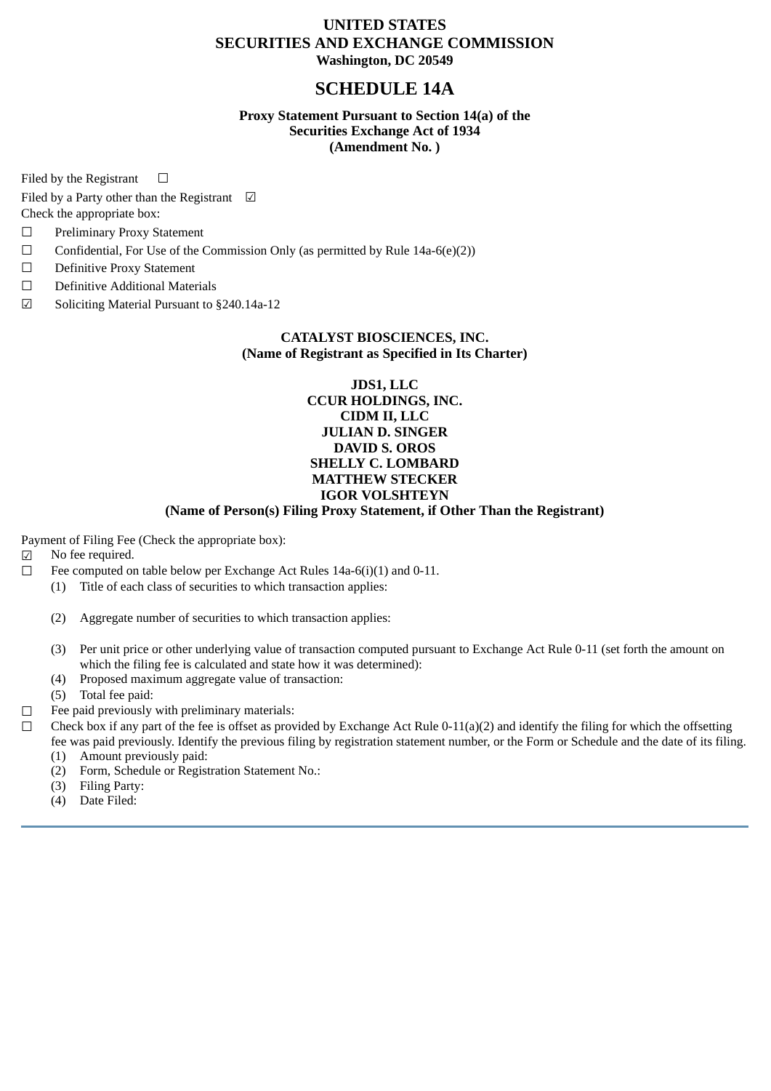## **UNITED STATES SECURITIES AND EXCHANGE COMMISSION Washington, DC 20549**

# **SCHEDULE 14A**

### **Proxy Statement Pursuant to Section 14(a) of the Securities Exchange Act of 1934 (Amendment No. )**

Filed by the Registrant  $\Box$ 

Filed by a Party other than the Registrant  $\Box$ 

Check the appropriate box:

- ☐ Preliminary Proxy Statement
- $\Box$  Confidential, For Use of the Commission Only (as permitted by Rule 14a-6(e)(2))
- ☐ Definitive Proxy Statement
- ☐ Definitive Additional Materials
- ☑ Soliciting Material Pursuant to §240.14a-12

### **CATALYST BIOSCIENCES, INC. (Name of Registrant as Specified in Its Charter)**

### **JDS1, LLC CCUR HOLDINGS, INC. CIDM II, LLC JULIAN D. SINGER DAVID S. OROS SHELLY C. LOMBARD MATTHEW STECKER IGOR VOLSHTEYN**

### **(Name of Person(s) Filing Proxy Statement, if Other Than the Registrant)**

Payment of Filing Fee (Check the appropriate box):

- ☑ No fee required.
- $\Box$  Fee computed on table below per Exchange Act Rules 14a-6(i)(1) and 0-11.
	- (1) Title of each class of securities to which transaction applies:
	- (2) Aggregate number of securities to which transaction applies:
	- (3) Per unit price or other underlying value of transaction computed pursuant to Exchange Act Rule 0-11 (set forth the amount on which the filing fee is calculated and state how it was determined):
	- (4) Proposed maximum aggregate value of transaction:
	- (5) Total fee paid:
- ☐ Fee paid previously with preliminary materials:
- $\Box$  Check box if any part of the fee is offset as provided by Exchange Act Rule 0-11(a)(2) and identify the filing for which the offsetting fee was paid previously. Identify the previous filing by registration statement number, or the Form or Schedule and the date of its filing.
	- (1) Amount previously paid:
	- (2) Form, Schedule or Registration Statement No.:
	- (3) Filing Party:
	- (4) Date Filed: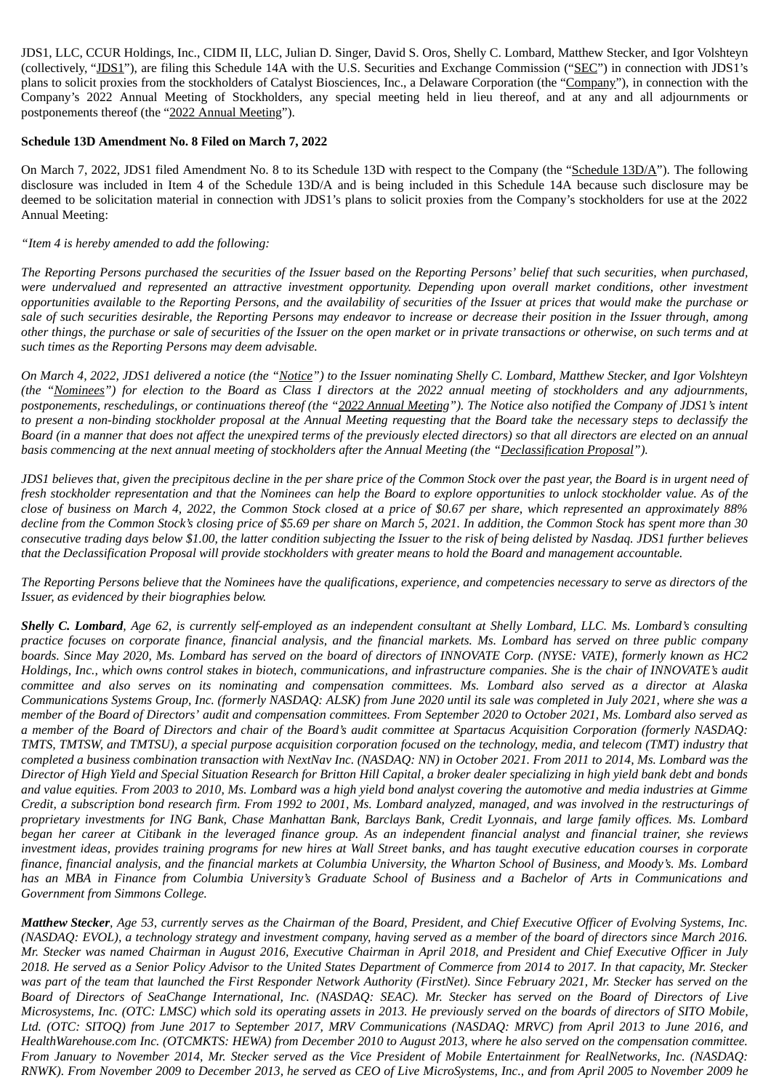JDS1, LLC, CCUR Holdings, Inc., CIDM II, LLC, Julian D. Singer, David S. Oros, Shelly C. Lombard, Matthew Stecker, and Igor Volshteyn (collectively, "JDS1"), are filing this Schedule 14A with the U.S. Securities and Exchange Commission ("SEC") in connection with JDS1's plans to solicit proxies from the stockholders of Catalyst Biosciences, Inc., a Delaware Corporation (the "Company"), in connection with the Company's 2022 Annual Meeting of Stockholders, any special meeting held in lieu thereof, and at any and all adjournments or postponements thereof (the "2022 Annual Meeting").

### **Schedule 13D Amendment No. 8 Filed on March 7, 2022**

On March 7, 2022, JDS1 filed Amendment No. 8 to its Schedule 13D with respect to the Company (the "Schedule 13D/A"). The following disclosure was included in Item 4 of the Schedule 13D/A and is being included in this Schedule 14A because such disclosure may be deemed to be solicitation material in connection with JDS1's plans to solicit proxies from the Company's stockholders for use at the 2022 Annual Meeting:

### *"Item 4 is hereby amended to add the following:*

The Reporting Persons purchased the securities of the Issuer based on the Reporting Persons' belief that such securities, when purchased, were undervalued and represented an attractive investment opportunity. Depending upon overall market conditions, other investment opportunities available to the Reporting Persons, and the availability of securities of the Issuer at prices that would make the purchase or sale of such securities desirable, the Reporting Persons may endeavor to increase or decrease their position in the Issuer through, among other things, the purchase or sale of securities of the Issuer on the open market or in private transactions or otherwise, on such terms and at *such times as the Reporting Persons may deem advisable.*

On March 4, 2022, JDS1 delivered a notice (the "Notice") to the Issuer nominating Shelly C. Lombard, Matthew Stecker, and Igor Volshteyn (the "Nominees") for election to the Board as Class I directors at the 2022 annual meeting of stockholders and any adjournments, postponements, reschedulings, or continuations thereof (the "2022 Annual Meeting"). The Notice also notified the Company of JDS1's intent to present a non-binding stockholder proposal at the Annual Meeting requesting that the Board take the necessary steps to declassify the Board (in a manner that does not affect the unexpired terms of the previously elected directors) so that all directors are elected on an annual basis commencing at the next annual meeting of stockholders after the Annual Meeting (the "Declassification Proposal").

JDS1 believes that, given the precipitous decline in the per share price of the Common Stock over the past year, the Board is in urgent need of fresh stockholder representation and that the Nominees can help the Board to explore opportunities to unlock stockholder value. As of the close of business on March 4, 2022, the Common Stock closed at a price of \$0.67 per share, which represented an approximately 88% decline from the Common Stock's closing price of \$5.69 per share on March 5, 2021. In addition, the Common Stock has spent more than 30 consecutive trading days below \$1.00, the latter condition subjecting the Issuer to the risk of being delisted by Nasdaq. JDS1 further believes that the Declassification Proposal will provide stockholders with greater means to hold the Board and management accountable.

The Reporting Persons believe that the Nominees have the qualifications, experience, and competencies necessary to serve as directors of the *Issuer, as evidenced by their biographies below.*

Shelly C. Lombard, Age 62, is currently self-employed as an independent consultant at Shelly Lombard, LLC. Ms. Lombard's consulting practice focuses on corporate finance, financial analysis, and the financial markets. Ms. Lombard has served on three public company boards. Since May 2020, Ms. Lombard has served on the board of directors of INNOVATE Corp. (NYSE: VATE), formerly known as HC2 Holdings, Inc., which owns control stakes in biotech, communications, and infrastructure companies. She is the chair of INNOVATE's audit committee and also serves on its nominating and compensation committees. Ms. Lombard also served as a director at Alaska Communications Systems Group, Inc. (formerly NASDAQ: ALSK) from June 2020 until its sale was completed in July 2021, where she was a member of the Board of Directors' audit and compensation committees. From September 2020 to October 2021, Ms. Lombard also served as a member of the Board of Directors and chair of the Board's audit committee at Spartacus Acquisition Corporation (formerly NASDAQ: TMTS, TMTSW, and TMTSU), a special purpose acquisition corporation focused on the technology, media, and telecom (TMT) industry that completed a business combination transaction with NextNay Inc. (NASDAO: NN) in October 2021. From 2011 to 2014, Ms. Lombard was the Director of High Yield and Special Situation Research for Britton Hill Capital, a broker dealer specializing in high vield bank debt and bonds and value equities. From 2003 to 2010, Ms. Lombard was a high yield bond analyst covering the automotive and media industries at Gimme Credit, a subscription bond research firm. From 1992 to 2001, Ms. Lombard analyzed, managed, and was involved in the restructurings of proprietary investments for ING Bank, Chase Manhattan Bank, Barclays Bank, Credit Lyonnais, and large family offices. Ms. Lombard began her career at Citibank in the leveraged finance group. As an independent financial analyst and financial trainer, she reviews investment ideas, provides training programs for new hires at Wall Street banks, and has taught executive education courses in corporate finance, financial analysis, and the financial markets at Columbia University, the Wharton School of Business, and Moody's. Ms. Lombard has an MBA in Finance from Columbia University's Graduate School of Business and a Bachelor of Arts in Communications and *Government from Simmons College.*

Matthew Stecker, Age 53, currently serves as the Chairman of the Board, President, and Chief Executive Officer of Evolving Systems, Inc. (NASDAQ: EVOL), a technology strategy and investment company, having served as a member of the board of directors since March 2016. Mr. Stecker was named Chairman in August 2016, Executive Chairman in April 2018, and President and Chief Executive Officer in July 2018. He served as a Senior Policy Advisor to the United States Department of Commerce from 2014 to 2017. In that capacity, Mr. Stecker was part of the team that launched the First Responder Network Authority (FirstNet). Since February 2021, Mr. Stecker has served on the Board of Directors of SeaChange International, Inc. (NASDAQ: SEAC). Mr. Stecker has served on the Board of Directors of Live Microsystems, Inc. (OTC: LMSC) which sold its operating assets in 2013. He previously served on the boards of directors of SITO Mobile, Ltd. (OTC: SITOQ) from June 2017 to September 2017, MRV Communications (NASDAQ: MRVC) from April 2013 to June 2016, and HealthWarehouse.com Inc. (OTCMKTS: HEWA) from December 2010 to August 2013, where he also served on the compensation committee. From January to November 2014, Mr. Stecker served as the Vice President of Mobile Entertainment for RealNetworks, Inc. (NASDAQ: RNWK). From November 2009 to December 2013, he served as CEO of Live MicroSystems, Inc., and from April 2005 to November 2009 he